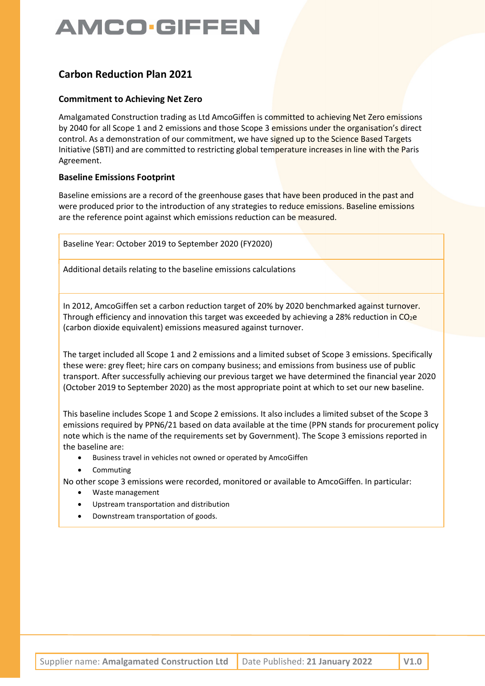### Carbon Reduction Plan 2021

#### Commitment to Achieving Net Zero

Amalgamated Construction trading as Ltd AmcoGiffen is committed to achieving Net Zero emissions by 2040 for all Scope 1 and 2 emissions and those Scope 3 emissions under the organisation's direct control. As a demonstration of our commitment, we have signed up to the Science Based Targets Initiative (SBTI) and are committed to restricting global temperature increases in line with the Paris Agreement.

### Baseline Emissions Footprint

Baseline emissions are a record of the greenhouse gases that have been produced in the past and were produced prior to the introduction of any strategies to reduce emissions. Baseline emissions are the reference point against which emissions reduction can be measured.

Baseline Year: October 2019 to September 2020 (FY2020)

Additional details relating to the baseline emissions calculations

In 2012, AmcoGiffen set a carbon reduction target of 20% by 2020 benchmarked against turnover. Through efficiency and innovation this target was exceeded by achieving a 28% reduction in  $CO<sub>2</sub>e$ (carbon dioxide equivalent) emissions measured against turnover.

The target included all Scope 1 and 2 emissions and a limited subset of Scope 3 emissions. Specifically these were: grey fleet; hire cars on company business; and emissions from business use of public transport. After successfully achieving our previous target we have determined the financial year 2020 (October 2019 to September 2020) as the most appropriate point at which to set our new baseline.

This baseline includes Scope 1 and Scope 2 emissions. It also includes a limited subset of the Scope 3 emissions required by PPN6/21 based on data available at the time (PPN stands for procurement policy note which is the name of the requirements set by Government). The Scope 3 emissions reported in the baseline are:

- Business travel in vehicles not owned or operated by AmcoGiffen
- Commuting

No other scope 3 emissions were recorded, monitored or available to AmcoGiffen. In particular:

- Waste management
- Upstream transportation and distribution
- Downstream transportation of goods.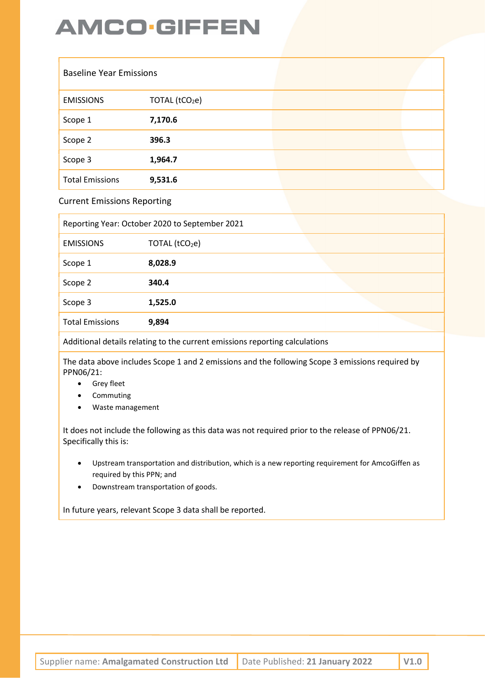| <b>Baseline Year Emissions</b> |                            |  |
|--------------------------------|----------------------------|--|
| <b>EMISSIONS</b>               | TOTAL (tCO <sub>2</sub> e) |  |
| Scope 1                        | 7,170.6                    |  |
| Scope 2                        | 396.3                      |  |
| Scope 3                        | 1,964.7                    |  |
| <b>Total Emissions</b>         | 9,531.6                    |  |

Current Emissions Reporting

|                        | Reporting Year: October 2020 to September 2021 |  |
|------------------------|------------------------------------------------|--|
| <b>EMISSIONS</b>       | TOTAL (tCO <sub>2</sub> e)                     |  |
| Scope 1                | 8,028.9                                        |  |
| Scope 2                | 340.4                                          |  |
| Scope 3                | 1,525.0                                        |  |
| <b>Total Emissions</b> | 9,894                                          |  |

Additional details relating to the current emissions reporting calculations

The data above includes Scope 1 and 2 emissions and the following Scope 3 emissions required by PPN06/21:

- **•** Grey fleet
- Commuting
- Waste management

It does not include the following as this data was not required prior to the release of PPN06/21. Specifically this is:

- Upstream transportation and distribution, which is a new reporting requirement for AmcoGiffen as required by this PPN; and
- Downstream transportation of goods.

In future years, relevant Scope 3 data shall be reported.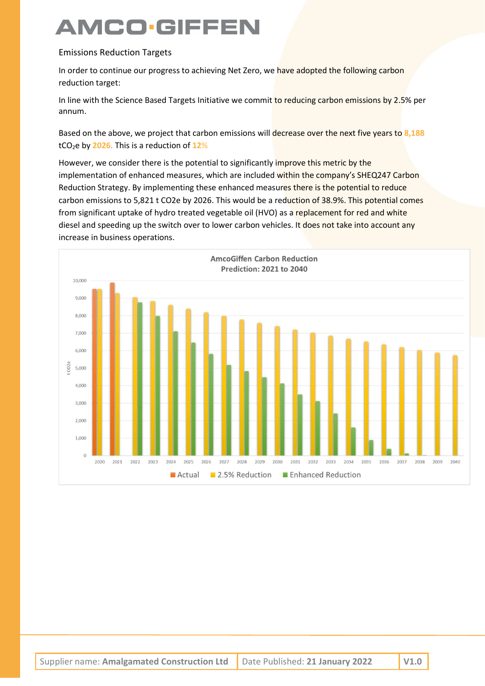### Emissions Reduction Targets

In order to continue our progress to achieving Net Zero, we have adopted the following carbon reduction target:

In line with the Science Based Targets Initiative we commit to reducing carbon emissions by 2.5% per annum.

Based on the above, we project that carbon emissions will decrease over the next five years to 8,188 tCO<sub>2</sub>e by 2026. This is a reduction of  $12\%$ 

However, we consider there is the potential to significantly improve this metric by the implementation of enhanced measures, which are included within the company's SHEQ247 Carbon Reduction Strategy. By implementing these enhanced measures there is the potential to reduce carbon emissions to 5,821 t CO2e by 2026. This would be a reduction of 38.9%. This potential comes from significant uptake of hydro treated vegetable oil (HVO) as a replacement for red and white diesel and speeding up the switch over to lower carbon vehicles. It does not take into account any increase in business operations.

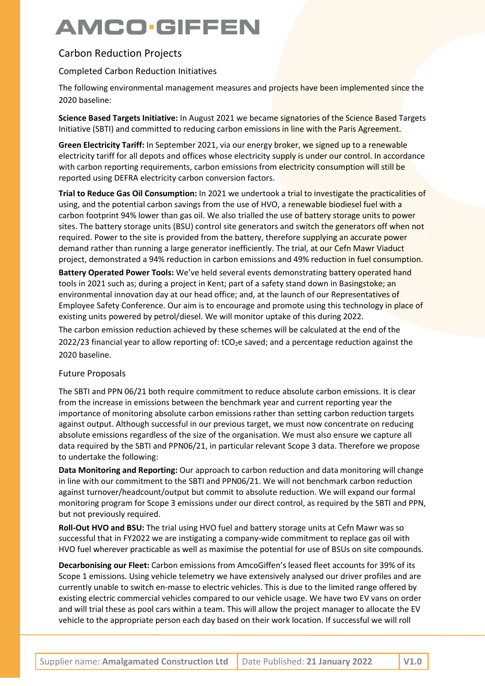### Carbon Reduction Projects

### Completed Carbon Reduction Initiatives

The following environmental management measures and projects have been implemented since the 2020 baseline:

Science Based Targets Initiative: In August 2021 we became signatories of the Science Based Targets Initiative (SBTI) and committed to reducing carbon emissions in line with the Paris Agreement.

Green Electricity Tariff: In September 2021, via our energy broker, we signed up to a renewable electricity tariff for all depots and offices whose electricity supply is under our control. In accordance with carbon reporting requirements, carbon emissions from electricity consumption will still be reported using DEFRA electricity carbon conversion factors.

Trial to Reduce Gas Oil Consumption: In 2021 we undertook a trial to investigate the practicalities of using, and the potential carbon savings from the use of HVO, a renewable biodiesel fuel with a carbon footprint 94% lower than gas oil. We also trialled the use of battery storage units to power sites. The battery storage units (BSU) control site generators and switch the generators off when not required. Power to the site is provided from the battery, therefore supplying an accurate power demand rather than running a large generator inefficiently. The trial, at our Cefn Mawr Viaduct project, demonstrated a 94% reduction in carbon emissions and 49% reduction in fuel consumption.

Battery Operated Power Tools: We've held several events demonstrating battery operated hand tools in 2021 such as; during a project in Kent; part of a safety stand down in Basingstoke; an environmental innovation day at our head office; and, at the launch of our Representatives of Employee Safety Conference. Our aim is to encourage and promote using this technology in place of existing units powered by petrol/diesel. We will monitor uptake of this during 2022.

The carbon emission reduction achieved by these schemes will be calculated at the end of the 2022/23 financial year to allow reporting of:  $tCO<sub>2</sub>e$  saved; and a percentage reduction against the 2020 baseline.

#### Future Proposals

The SBTI and PPN 06/21 both require commitment to reduce absolute carbon emissions. It is clear from the increase in emissions between the benchmark year and current reporting year the importance of monitoring absolute carbon emissions rather than setting carbon reduction targets against output. Although successful in our previous target, we must now concentrate on reducing absolute emissions regardless of the size of the organisation. We must also ensure we capture all data required by the SBTI and PPN06/21, in particular relevant Scope 3 data. Therefore we propose to undertake the following:

Data Monitoring and Reporting: Our approach to carbon reduction and data monitoring will change in line with our commitment to the SBTI and PPN06/21. We will not benchmark carbon reduction against turnover/headcount/output but commit to absolute reduction. We will expand our formal monitoring program for Scope 3 emissions under our direct control, as required by the SBTI and PPN, but not previously required.

Roll-Out HVO and BSU: The trial using HVO fuel and battery storage units at Cefn Mawr was so successful that in FY2022 we are instigating a company-wide commitment to replace gas oil with HVO fuel wherever practicable as well as maximise the potential for use of BSUs on site compounds.

Decarbonising our Fleet: Carbon emissions from AmcoGiffen's leased fleet accounts for 39% of its Scope 1 emissions. Using vehicle telemetry we have extensively analysed our driver profiles and are currently unable to switch en-masse to electric vehicles. This is due to the limited range offered by existing electric commercial vehicles compared to our vehicle usage. We have two EV vans on order and will trial these as pool cars within a team. This will allow the project manager to allocate the EV vehicle to the appropriate person each day based on their work location. If successful we will roll